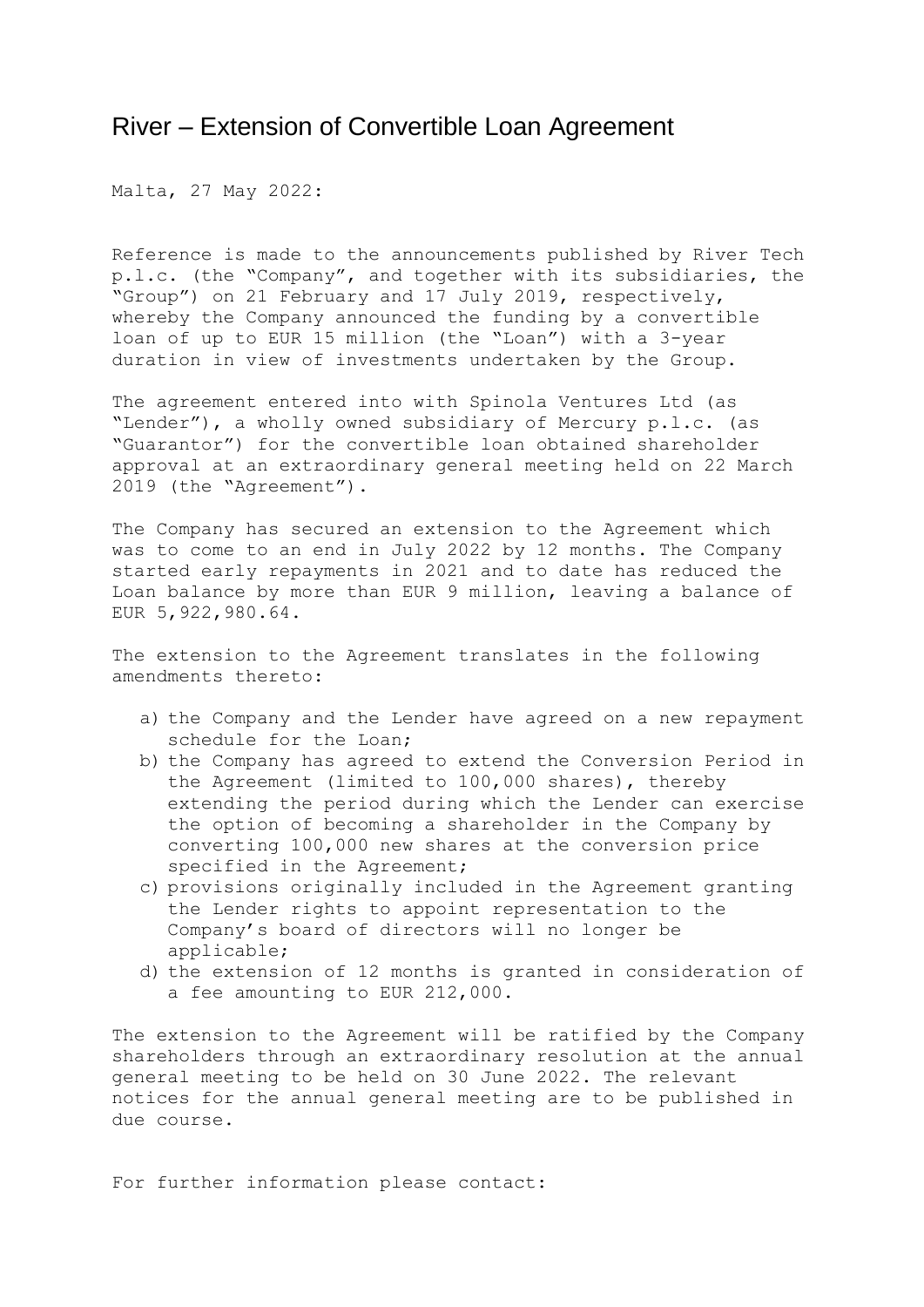## River – Extension of Convertible Loan Agreement

Malta, 27 May 2022:

Reference is made to the announcements published by River Tech p.l.c. (the "Company", and together with its subsidiaries, the "Group") on 21 February and 17 July 2019, respectively, whereby the Company announced the funding by a convertible loan of up to EUR 15 million (the "Loan") with a 3-year duration in view of investments undertaken by the Group.

The agreement entered into with Spinola Ventures Ltd (as "Lender"), a wholly owned subsidiary of Mercury p.l.c. (as "Guarantor") for the convertible loan obtained shareholder approval at an extraordinary general meeting held on 22 March 2019 (the "Agreement").

The Company has secured an extension to the Agreement which was to come to an end in July 2022 by 12 months. The Company started early repayments in 2021 and to date has reduced the Loan balance by more than EUR 9 million, leaving a balance of EUR 5,922,980.64.

The extension to the Agreement translates in the following amendments thereto:

- a) the Company and the Lender have agreed on a new repayment schedule for the Loan;
- b) the Company has agreed to extend the Conversion Period in the Agreement (limited to 100,000 shares), thereby extending the period during which the Lender can exercise the option of becoming a shareholder in the Company by converting 100,000 new shares at the conversion price specified in the Agreement;
- c) provisions originally included in the Agreement granting the Lender rights to appoint representation to the Company's board of directors will no longer be applicable;
- d) the extension of 12 months is granted in consideration of a fee amounting to EUR 212,000.

The extension to the Agreement will be ratified by the Company shareholders through an extraordinary resolution at the annual general meeting to be held on 30 June 2022. The relevant notices for the annual general meeting are to be published in due course.

For further information please contact: